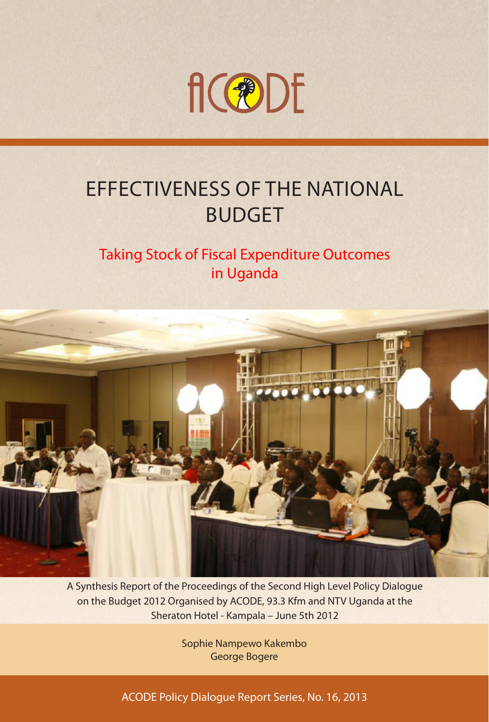

## EFFECTIVENESS OF THE NATIONAL BUDGET

### Taking Stock of Fiscal Expenditure Outcomes in Uganda



A Synthesis Report of the Proceedings of the Second High Level Policy Dialogue on the Budget 2012 Organised by ACODE, 93.3 Kfm and NTV Uganda at the Sheraton Hotel - Kampala – June 5th 2012

> Sophie Nampewo Kakembo George Bogere

ACODE Policy Dialogue Report Series, No. 16, 2013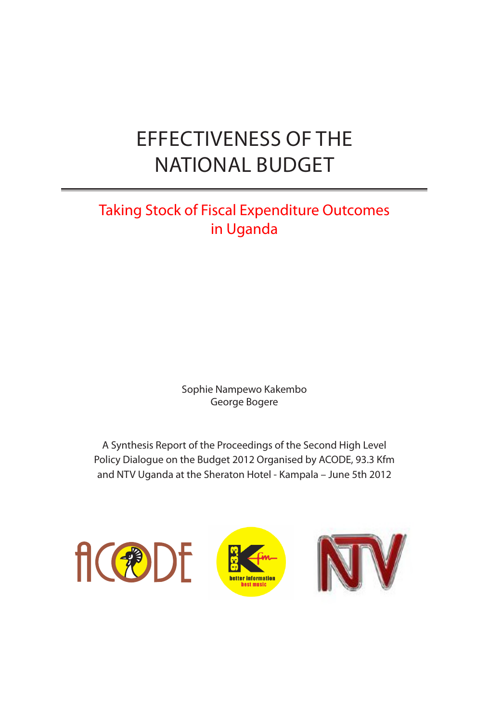## EFFECTIVENESS OF THE NATIONAL BUDGET

### Taking Stock of Fiscal Expenditure Outcomes in Uganda

Sophie Nampewo Kakembo George Bogere

A Synthesis Report of the Proceedings of the Second High Level Policy Dialogue on the Budget 2012 Organised by ACODE, 93.3 Kfm and NTV Uganda at the Sheraton Hotel - Kampala – June 5th 2012





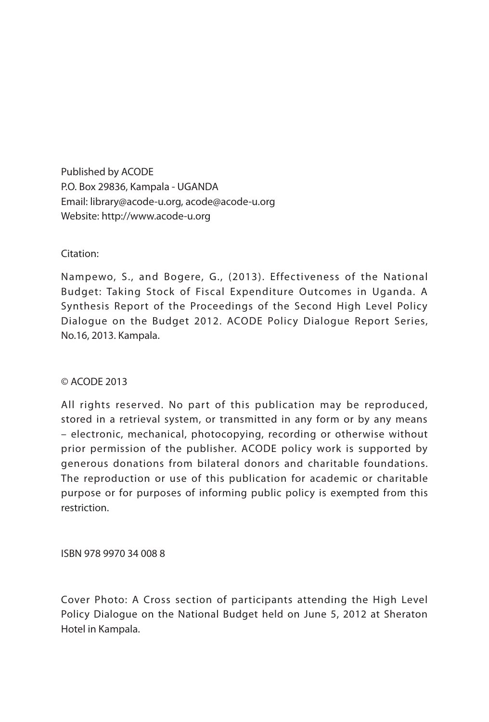Published by ACODE P.O. Box 29836, Kampala - UGANDA Email: library@acode-u.org, acode@acode-u.org Website: http://www.acode-u.org

### Citation:

Nampewo, S., and Bogere, G., (2013). Effectiveness of the National Budget: Taking Stock of Fiscal Expenditure Outcomes in Uganda. A Synthesis Report of the Proceedings of the Second High Level Policy Dialogue on the Budget 2012. ACODE Policy Dialogue Report Series, No.16, 2013. Kampala.

#### © ACODE 2013

All rights reserved. No part of this publication may be reproduced, stored in a retrieval system, or transmitted in any form or by any means – electronic, mechanical, photocopying, recording or otherwise without prior permission of the publisher. ACODE policy work is supported by generous donations from bilateral donors and charitable foundations. The reproduction or use of this publication for academic or charitable purpose or for purposes of informing public policy is exempted from this restriction.

ISBN 978 9970 34 008 8

Cover Photo: A Cross section of participants attending the High Level Policy Dialogue on the National Budget held on June 5, 2012 at Sheraton Hotel in Kampala.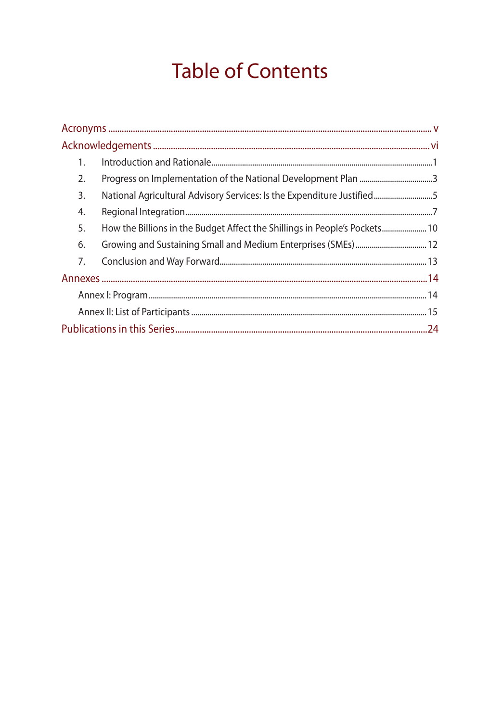## **Table of Contents**

| 1. |                                                                            |  |
|----|----------------------------------------------------------------------------|--|
| 2. |                                                                            |  |
| 3. | National Agricultural Advisory Services: Is the Expenditure Justified5     |  |
| 4. |                                                                            |  |
| 5. | How the Billions in the Budget Affect the Shillings in People's Pockets 10 |  |
| 6. |                                                                            |  |
| 7. |                                                                            |  |
|    |                                                                            |  |
|    |                                                                            |  |
|    |                                                                            |  |
|    |                                                                            |  |
|    |                                                                            |  |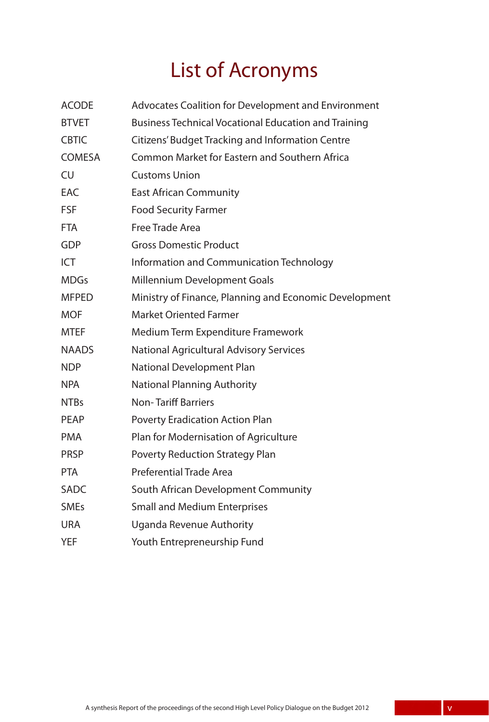## List of Acronyms

| <b>ACODE</b> | Advocates Coalition for Development and Environment         |
|--------------|-------------------------------------------------------------|
| <b>BTVET</b> | <b>Business Technical Vocational Education and Training</b> |
| <b>CBTIC</b> | Citizens' Budget Tracking and Information Centre            |
| COMESA       | Common Market for Eastern and Southern Africa               |
| <b>CU</b>    | <b>Customs Union</b>                                        |
| <b>EAC</b>   | <b>East African Community</b>                               |
| <b>FSF</b>   | <b>Food Security Farmer</b>                                 |
| <b>FTA</b>   | Free Trade Area                                             |
| <b>GDP</b>   | <b>Gross Domestic Product</b>                               |
| ICT          | Information and Communication Technology                    |
| <b>MDGs</b>  | Millennium Development Goals                                |
| <b>MFPED</b> | Ministry of Finance, Planning and Economic Development      |
| <b>MOF</b>   | <b>Market Oriented Farmer</b>                               |
| <b>MTEF</b>  | Medium Term Expenditure Framework                           |
| <b>NAADS</b> | National Agricultural Advisory Services                     |
| <b>NDP</b>   | National Development Plan                                   |
| <b>NPA</b>   | <b>National Planning Authority</b>                          |
| <b>NTBs</b>  | <b>Non-Tariff Barriers</b>                                  |
| PEAP         | Poverty Eradication Action Plan                             |
| <b>PMA</b>   | Plan for Modernisation of Agriculture                       |
| <b>PRSP</b>  | Poverty Reduction Strategy Plan                             |
| <b>PTA</b>   | Preferential Trade Area                                     |
| <b>SADC</b>  | South African Development Community                         |
| <b>SMEs</b>  | <b>Small and Medium Enterprises</b>                         |
| <b>URA</b>   | <b>Uganda Revenue Authority</b>                             |
| <b>YEF</b>   | Youth Entrepreneurship Fund                                 |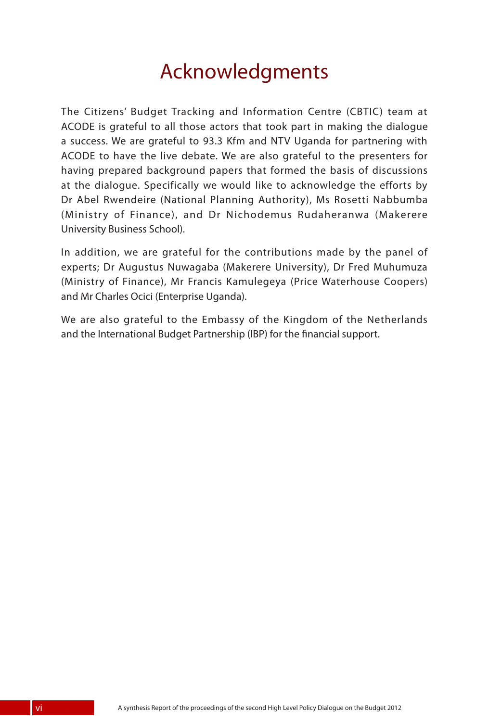## Acknowledgments

The Citizens' Budget Tracking and Information Centre (CBTIC) team at ACODE is grateful to all those actors that took part in making the dialogue a success. We are grateful to 93.3 Kfm and NTV Uganda for partnering with ACODE to have the live debate. We are also grateful to the presenters for having prepared background papers that formed the basis of discussions at the dialogue. Specifically we would like to acknowledge the efforts by Dr Abel Rwendeire (National Planning Authority), Ms Rosetti Nabbumba (Ministry of Finance), and Dr Nichodemus Rudaheranwa (Makerere University Business School).

In addition, we are grateful for the contributions made by the panel of experts; Dr Augustus Nuwagaba (Makerere University), Dr Fred Muhumuza (Ministry of Finance), Mr Francis Kamulegeya (Price Waterhouse Coopers) and Mr Charles Ocici (Enterprise Uganda).

We are also grateful to the Embassy of the Kingdom of the Netherlands and the International Budget Partnership (IBP) for the financial support.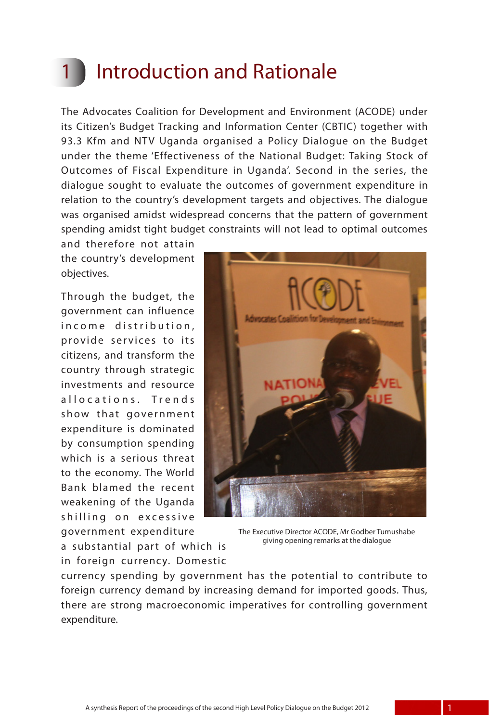## **Introduction and Rationale**

The Advocates Coalition for Development and Environment (ACODE) under its Citizen's Budget Tracking and Information Center (CBTIC) together with 93.3 Kfm and NTV Uganda organised a Policy Dialogue on the Budget under the theme 'Effectiveness of the National Budget: Taking Stock of Outcomes of Fiscal Expenditure in Uganda'. Second in the series, the dialogue sought to evaluate the outcomes of government expenditure in relation to the country's development targets and objectives. The dialogue was organised amidst widespread concerns that the pattern of government spending amidst tight budget constraints will not lead to optimal outcomes

and therefore not attain the country's development objectives.

Through the budget, the government can influence in come distribution, provide services to its citizens, and transform the country through strategic investments and resource allocations. Trends show that government expenditure is dominated by consumption spending which is a serious threat to the economy. The World Bank blamed the recent weakening of the Uganda shilling on excessive government expenditure

a substantial part of which is in foreign currency. Domestic



The Executive Director ACODE, Mr Godber Tumushabe giving opening remarks at the dialogue

currency spending by government has the potential to contribute to foreign currency demand by increasing demand for imported goods. Thus, there are strong macroeconomic imperatives for controlling government expenditure.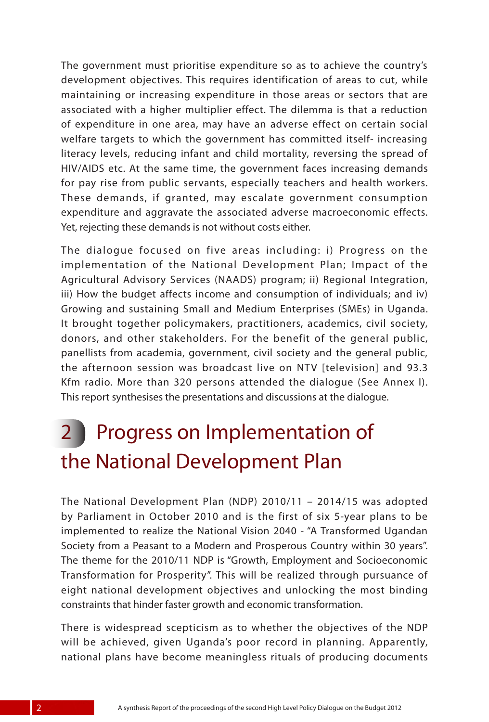The government must prioritise expenditure so as to achieve the country's development objectives. This requires identification of areas to cut, while maintaining or increasing expenditure in those areas or sectors that are associated with a higher multiplier effect. The dilemma is that a reduction of expenditure in one area, may have an adverse effect on certain social welfare targets to which the government has committed itself- increasing literacy levels, reducing infant and child mortality, reversing the spread of HIV/AIDS etc. At the same time, the government faces increasing demands for pay rise from public servants, especially teachers and health workers. These demands, if granted, may escalate government consumption expenditure and aggravate the associated adverse macroeconomic effects. Yet, rejecting these demands is not without costs either.

The dialogue focused on five areas including: i) Progress on the implementation of the National Development Plan; Impact of the Agricultural Advisory Services (NAADS) program; ii) Regional Integration, iii) How the budget affects income and consumption of individuals; and iv) Growing and sustaining Small and Medium Enterprises (SMEs) in Uganda. It brought together policymakers, practitioners, academics, civil society, donors, and other stakeholders. For the benefit of the general public, panellists from academia, government, civil society and the general public, the afternoon session was broadcast live on NTV [television] and 93.3 Kfm radio. More than 320 persons attended the dialogue (See Annex I). This report synthesises the presentations and discussions at the dialogue.

## 2 Progress on Implementation of the National Development Plan

The National Development Plan (NDP) 2010/11 – 2014/15 was adopted by Parliament in October 2010 and is the first of six 5-year plans to be implemented to realize the National Vision 2040 - "A Transformed Ugandan Society from a Peasant to a Modern and Prosperous Country within 30 years". The theme for the 2010/11 NDP is "Growth, Employment and Socioeconomic Transformation for Prosperity". This will be realized through pursuance of eight national development objectives and unlocking the most binding constraints that hinder faster growth and economic transformation.

There is widespread scepticism as to whether the objectives of the NDP will be achieved, given Uganda's poor record in planning. Apparently, national plans have become meaningless rituals of producing documents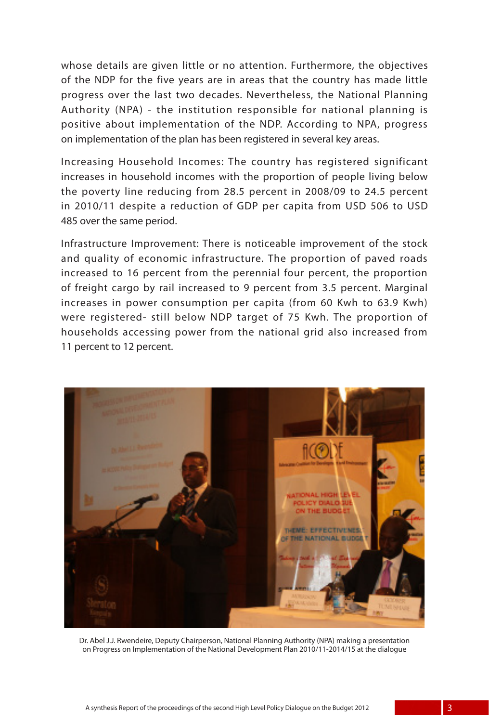whose details are given little or no attention. Furthermore, the objectives of the NDP for the five years are in areas that the country has made little progress over the last two decades. Nevertheless, the National Planning Authority (NPA) - the institution responsible for national planning is positive about implementation of the NDP. According to NPA, progress on implementation of the plan has been registered in several key areas.

Increasing Household Incomes: The country has registered significant increases in household incomes with the proportion of people living below the poverty line reducing from 28.5 percent in 2008/09 to 24.5 percent in 2010/11 despite a reduction of GDP per capita from USD 506 to USD 485 over the same period.

Infrastructure Improvement: There is noticeable improvement of the stock and quality of economic infrastructure. The proportion of paved roads increased to 16 percent from the perennial four percent, the proportion of freight cargo by rail increased to 9 percent from 3.5 percent. Marginal increases in power consumption per capita (from 60 Kwh to 63.9 Kwh) were registered- still below NDP target of 75 Kwh. The proportion of households accessing power from the national grid also increased from 11 percent to 12 percent.



Dr. Abel J.J. Rwendeire, Deputy Chairperson, National Planning Authority (NPA) making a presentation on Progress on Implementation of the National Development Plan 2010/11-2014/15 at the dialogue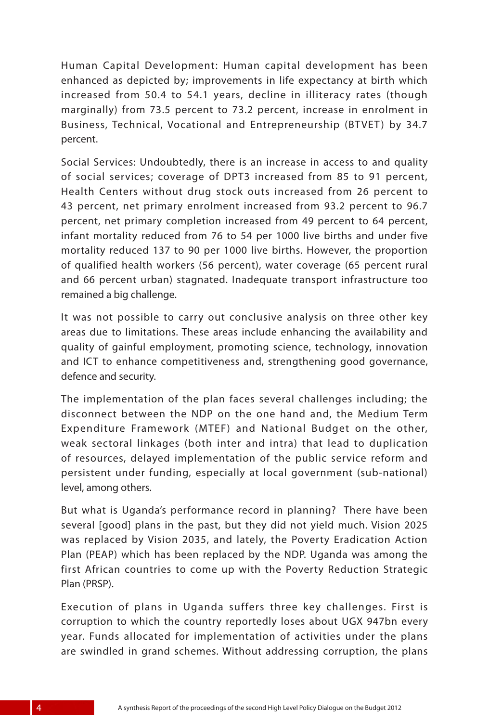Human Capital Development: Human capital development has been enhanced as depicted by; improvements in life expectancy at birth which increased from 50.4 to 54.1 years, decline in illiteracy rates (though marginally) from 73.5 percent to 73.2 percent, increase in enrolment in Business, Technical, Vocational and Entrepreneurship (BTVET) by 34.7 percent.

Social Services: Undoubtedly, there is an increase in access to and quality of social services; coverage of DPT3 increased from 85 to 91 percent, Health Centers without drug stock outs increased from 26 percent to 43 percent, net primary enrolment increased from 93.2 percent to 96.7 percent, net primary completion increased from 49 percent to 64 percent, infant mortality reduced from 76 to 54 per 1000 live births and under five mortality reduced 137 to 90 per 1000 live births. However, the proportion of qualified health workers (56 percent), water coverage (65 percent rural and 66 percent urban) stagnated. Inadequate transport infrastructure too remained a big challenge.

It was not possible to carry out conclusive analysis on three other key areas due to limitations. These areas include enhancing the availability and quality of gainful employment, promoting science, technology, innovation and ICT to enhance competitiveness and, strengthening good governance, defence and security.

The implementation of the plan faces several challenges including; the disconnect between the NDP on the one hand and, the Medium Term Expenditure Framework (MTEF) and National Budget on the other, weak sectoral linkages (both inter and intra) that lead to duplication of resources, delayed implementation of the public service reform and persistent under funding, especially at local government (sub-national) level, among others.

But what is Uganda's performance record in planning? There have been several [good] plans in the past, but they did not yield much. Vision 2025 was replaced by Vision 2035, and lately, the Poverty Eradication Action Plan (PEAP) which has been replaced by the NDP. Uganda was among the first African countries to come up with the Poverty Reduction Strategic Plan (PRSP).

Execution of plans in Uganda suffers three key challenges. First is corruption to which the country reportedly loses about UGX 947bn every year. Funds allocated for implementation of activities under the plans are swindled in grand schemes. Without addressing corruption, the plans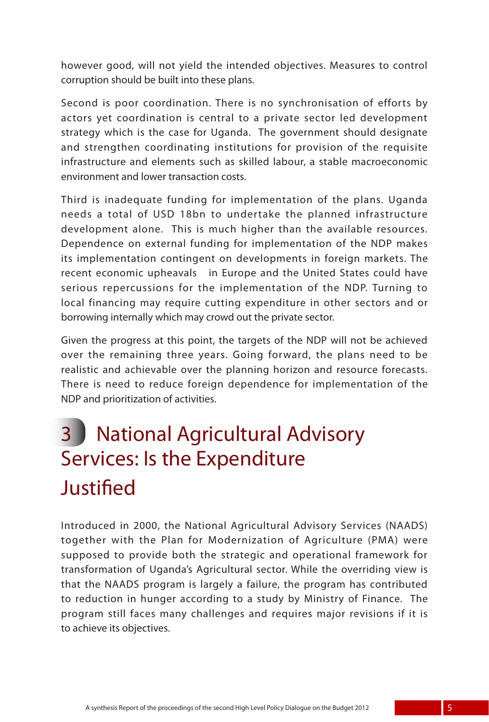however good, will not yield the intended objectives. Measures to control corruption should be built into these plans.

Second is poor coordination. There is no synchronisation of efforts by actors yet coordination is central to a private sector led development strategy which is the case for Uganda. The government should designate and strengthen coordinating institutions for provision of the requisite infrastructure and elements such as skilled labour, a stable macroeconomic environment and lower transaction costs.

Third is inadequate funding for implementation of the plans. Uganda needs a total of USD 18bn to undertake the planned infrastructure development alone. This is much higher than the available resources. Dependence on external funding for implementation of the NDP makes its implementation contingent on developments in foreign markets. The recent economic upheavals in Europe and the United States could have serious repercussions for the implementation of the NDP. Turning to local financing may require cutting expenditure in other sectors and or borrowing internally which may crowd out the private sector.

Given the progress at this point, the targets of the NDP will not be achieved over the remaining three years. Going forward, the plans need to be realistic and achievable over the planning horizon and resource forecasts. There is need to reduce foreign dependence for implementation of the NDP and prioritization of activities.

## 3 National Agricultural Advisory Services: Is the Expenditure **Justified**

Introduced in 2000, the National Agricultural Advisory Services (NAADS) together with the Plan for Modernization of Agriculture (PMA) were supposed to provide both the strategic and operational framework for transformation of Uganda's Agricultural sector. While the overriding view is that the NAADS program is largely a failure, the program has contributed to reduction in hunger according to a study by Ministry of Finance. The program still faces many challenges and requires major revisions if it is to achieve its objectives.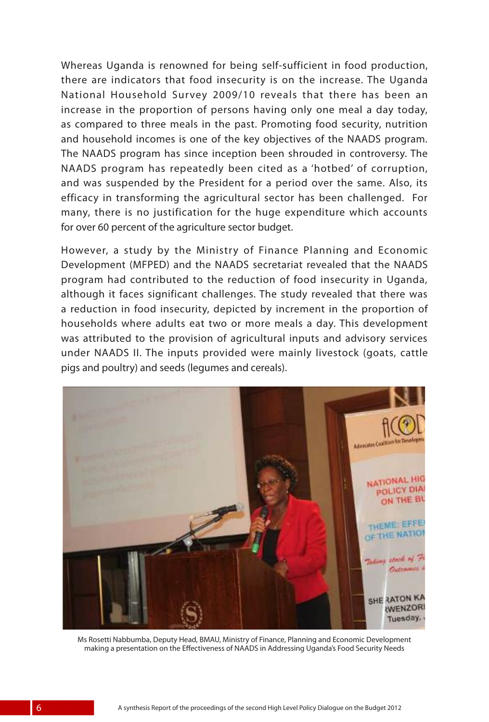Whereas Uganda is renowned for being self-sufficient in food production, there are indicators that food insecurity is on the increase. The Uganda National Household Survey 2009/10 reveals that there has been an increase in the proportion of persons having only one meal a day today, as compared to three meals in the past. Promoting food security, nutrition and household incomes is one of the key objectives of the NAADS program. The NAADS program has since inception been shrouded in controversy. The NAADS program has repeatedly been cited as a 'hotbed' of corruption, and was suspended by the President for a period over the same. Also, its efficacy in transforming the agricultural sector has been challenged. For many, there is no justification for the huge expenditure which accounts for over 60 percent of the agriculture sector budget.

However, a study by the Ministry of Finance Planning and Economic Development (MFPED) and the NAADS secretariat revealed that the NAADS program had contributed to the reduction of food insecurity in Uganda, although it faces significant challenges. The study revealed that there was a reduction in food insecurity, depicted by increment in the proportion of households where adults eat two or more meals a day. This development was attributed to the provision of agricultural inputs and advisory services under NAADS II. The inputs provided were mainly livestock (goats, cattle pigs and poultry) and seeds (legumes and cereals).



Ms Rosetti Nabbumba, Deputy Head, BMAU, Ministry of Finance, Planning and Economic Development making a presentation on the Effectiveness of NAADS in Addressing Uganda's Food Security Needs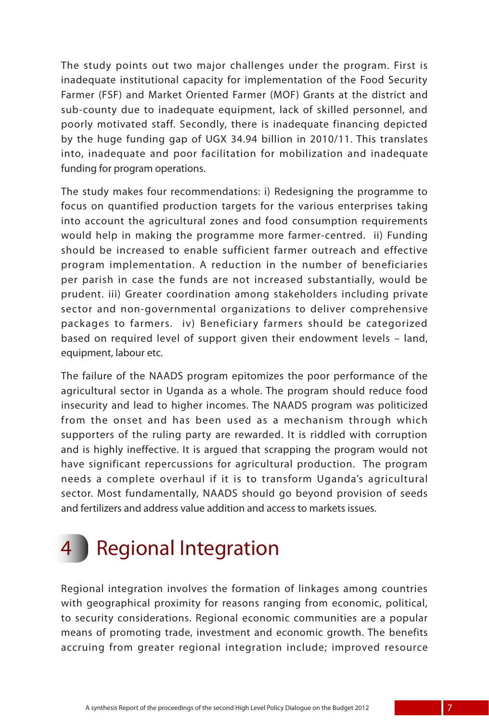The study points out two major challenges under the program. First is inadequate institutional capacity for implementation of the Food Security Farmer (FSF) and Market Oriented Farmer (MOF) Grants at the district and sub-county due to inadequate equipment, lack of skilled personnel, and poorly motivated staff. Secondly, there is inadequate financing depicted by the huge funding gap of UGX 34.94 billion in 2010/11. This translates into, inadequate and poor facilitation for mobilization and inadequate funding for program operations.

The study makes four recommendations: i) Redesigning the programme to focus on quantified production targets for the various enterprises taking into account the agricultural zones and food consumption requirements would help in making the programme more farmer-centred. ii) Funding should be increased to enable sufficient farmer outreach and effective program implementation. A reduction in the number of beneficiaries per parish in case the funds are not increased substantially, would be prudent. iii) Greater coordination among stakeholders including private sector and non-governmental organizations to deliver comprehensive packages to farmers. iv) Beneficiary farmers should be categorized based on required level of support given their endowment levels – land, equipment, labour etc.

The failure of the NAADS program epitomizes the poor performance of the agricultural sector in Uganda as a whole. The program should reduce food insecurity and lead to higher incomes. The NAADS program was politicized from the onset and has been used as a mechanism through which supporters of the ruling party are rewarded. It is riddled with corruption and is highly ineffective. It is argued that scrapping the program would not have significant repercussions for agricultural production. The program needs a complete overhaul if it is to transform Uganda's agricultural sector. Most fundamentally, NAADS should go beyond provision of seeds and fertilizers and address value addition and access to markets issues.

# **Regional Integration**

Regional integration involves the formation of linkages among countries with geographical proximity for reasons ranging from economic, political, to security considerations. Regional economic communities are a popular means of promoting trade, investment and economic growth. The benefits accruing from greater regional integration include; improved resource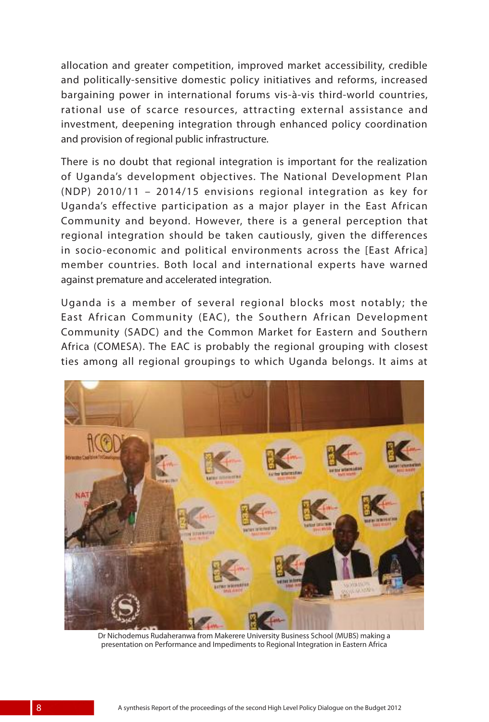allocation and greater competition, improved market accessibility, credible and politically-sensitive domestic policy initiatives and reforms, increased bargaining power in international forums vis-à-vis third-world countries, rational use of scarce resources, attracting external assistance and investment, deepening integration through enhanced policy coordination and provision of regional public infrastructure.

There is no doubt that regional integration is important for the realization of Uganda's development objectives. The National Development Plan (NDP) 2010/11 – 2014/15 envisions regional integration as key for Uganda's effective participation as a major player in the East African Community and beyond. However, there is a general perception that regional integration should be taken cautiously, given the differences in socio-economic and political environments across the [East Africa] member countries. Both local and international experts have warned against premature and accelerated integration.

Uganda is a member of several regional blocks most notably; the East African Community (EAC), the Southern African Development Community (SADC) and the Common Market for Eastern and Southern Africa (COMESA). The EAC is probably the regional grouping with closest ties among all regional groupings to which Uganda belongs. It aims at



Dr Nichodemus Rudaheranwa from Makerere University Business School (MUBS) making a presentation on Performance and Impediments to Regional Integration in Eastern Africa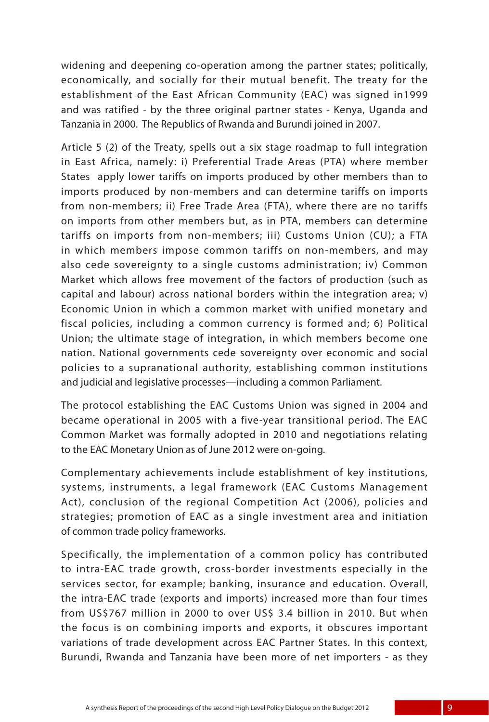widening and deepening co-operation among the partner states; politically, economically, and socially for their mutual benefit. The treaty for the establishment of the East African Community (EAC) was signed in1999 and was ratified - by the three original partner states - Kenya, Uganda and Tanzania in 2000. The Republics of Rwanda and Burundi joined in 2007.

Article 5 (2) of the Treaty, spells out a six stage roadmap to full integration in East Africa, namely: i) Preferential Trade Areas (PTA) where member States apply lower tariffs on imports produced by other members than to imports produced by non-members and can determine tariffs on imports from non-members; ii) Free Trade Area (FTA), where there are no tariffs on imports from other members but, as in PTA, members can determine tariffs on imports from non-members; iii) Customs Union (CU); a FTA in which members impose common tariffs on non-members, and may also cede sovereignty to a single customs administration; iv) Common Market which allows free movement of the factors of production (such as capital and labour) across national borders within the integration area; v) Economic Union in which a common market with unified monetary and fiscal policies, including a common currency is formed and; 6) Political Union; the ultimate stage of integration, in which members become one nation. National governments cede sovereignty over economic and social policies to a supranational authority, establishing common institutions and judicial and legislative processes—including a common Parliament.

The protocol establishing the EAC Customs Union was signed in 2004 and became operational in 2005 with a five-year transitional period. The EAC Common Market was formally adopted in 2010 and negotiations relating to the EAC Monetary Union as of June 2012 were on-going.

Complementary achievements include establishment of key institutions, systems, instruments, a legal framework (EAC Customs Management Act), conclusion of the regional Competition Act (2006), policies and strategies; promotion of EAC as a single investment area and initiation of common trade policy frameworks.

Specifically, the implementation of a common policy has contributed to intra-EAC trade growth, cross-border investments especially in the services sector, for example; banking, insurance and education. Overall, the intra-EAC trade (exports and imports) increased more than four times from US\$767 million in 2000 to over US\$ 3.4 billion in 2010. But when the focus is on combining imports and exports, it obscures important variations of trade development across EAC Partner States. In this context, Burundi, Rwanda and Tanzania have been more of net importers - as they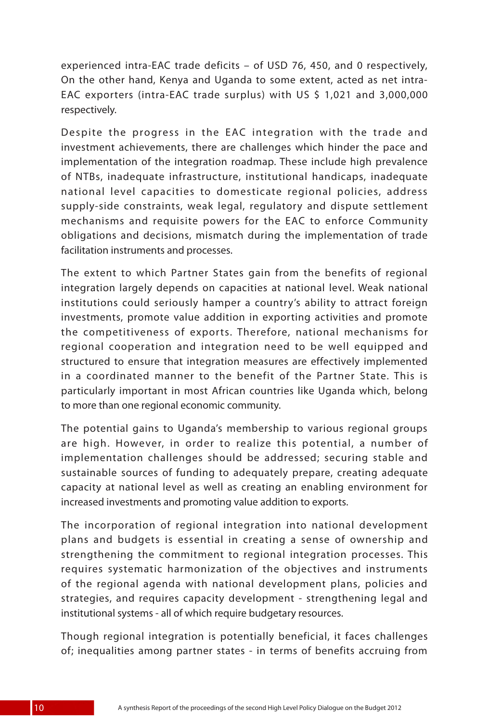experienced intra-EAC trade deficits – of USD 76, 450, and 0 respectively, On the other hand, Kenya and Uganda to some extent, acted as net intra-EAC exporters (intra-EAC trade surplus) with US \$ 1,021 and 3,000,000 respectively.

Despite the progress in the EAC integration with the trade and investment achievements, there are challenges which hinder the pace and implementation of the integration roadmap. These include high prevalence of NTBs, inadequate infrastructure, institutional handicaps, inadequate national level capacities to domesticate regional policies, address supply-side constraints, weak legal, regulatory and dispute settlement mechanisms and requisite powers for the EAC to enforce Community obligations and decisions, mismatch during the implementation of trade facilitation instruments and processes.

The extent to which Partner States gain from the benefits of regional integration largely depends on capacities at national level. Weak national institutions could seriously hamper a country's ability to attract foreign investments, promote value addition in exporting activities and promote the competitiveness of exports. Therefore, national mechanisms for regional cooperation and integration need to be well equipped and structured to ensure that integration measures are effectively implemented in a coordinated manner to the benefit of the Partner State. This is particularly important in most African countries like Uganda which, belong to more than one regional economic community.

The potential gains to Uganda's membership to various regional groups are high. However, in order to realize this potential, a number of implementation challenges should be addressed; securing stable and sustainable sources of funding to adequately prepare, creating adequate capacity at national level as well as creating an enabling environment for increased investments and promoting value addition to exports.

The incorporation of regional integration into national development plans and budgets is essential in creating a sense of ownership and strengthening the commitment to regional integration processes. This requires systematic harmonization of the objectives and instruments of the regional agenda with national development plans, policies and strategies, and requires capacity development - strengthening legal and institutional systems - all of which require budgetary resources.

Though regional integration is potentially beneficial, it faces challenges of; inequalities among partner states - in terms of benefits accruing from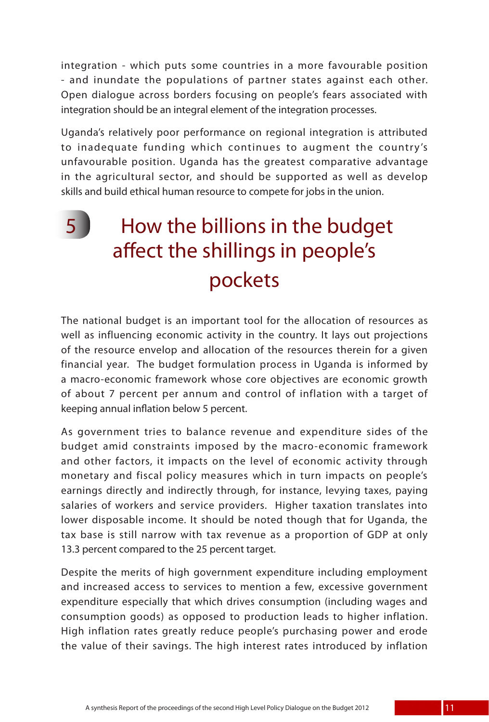integration - which puts some countries in a more favourable position - and inundate the populations of partner states against each other. Open dialogue across borders focusing on people's fears associated with integration should be an integral element of the integration processes.

Uganda's relatively poor performance on regional integration is attributed to inadequate funding which continues to augment the country's unfavourable position. Uganda has the greatest comparative advantage in the agricultural sector, and should be supported as well as develop skills and build ethical human resource to compete for jobs in the union.

## 5 How the billions in the budget affect the shillings in people's pockets

The national budget is an important tool for the allocation of resources as well as influencing economic activity in the country. It lays out projections of the resource envelop and allocation of the resources therein for a given financial year. The budget formulation process in Uganda is informed by a macro-economic framework whose core objectives are economic growth of about 7 percent per annum and control of inflation with a target of keeping annual inflation below 5 percent.

As government tries to balance revenue and expenditure sides of the budget amid constraints imposed by the macro-economic framework and other factors, it impacts on the level of economic activity through monetary and fiscal policy measures which in turn impacts on people's earnings directly and indirectly through, for instance, levying taxes, paying salaries of workers and service providers. Higher taxation translates into lower disposable income. It should be noted though that for Uganda, the tax base is still narrow with tax revenue as a proportion of GDP at only 13.3 percent compared to the 25 percent target.

Despite the merits of high government expenditure including employment and increased access to services to mention a few, excessive government expenditure especially that which drives consumption (including wages and consumption goods) as opposed to production leads to higher inflation. High inflation rates greatly reduce people's purchasing power and erode the value of their savings. The high interest rates introduced by inflation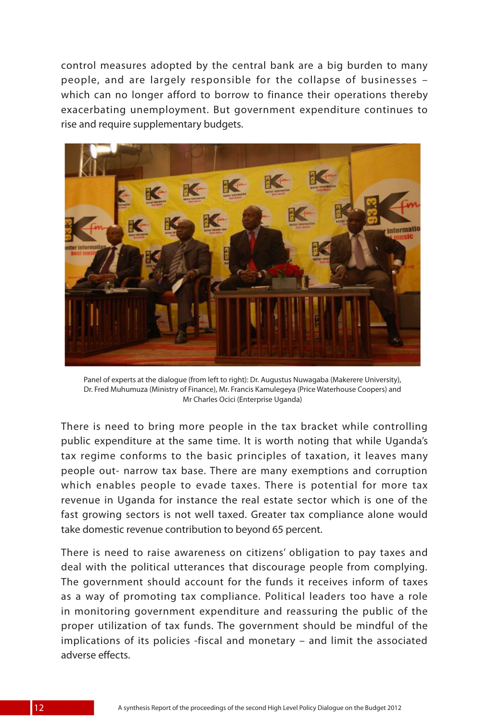control measures adopted by the central bank are a big burden to many people, and are largely responsible for the collapse of businesses – which can no longer afford to borrow to finance their operations thereby exacerbating unemployment. But government expenditure continues to rise and require supplementary budgets.



Panel of experts at the dialogue (from left to right): Dr. Augustus Nuwagaba (Makerere University), Dr. Fred Muhumuza (Ministry of Finance), Mr. Francis Kamulegeya (Price Waterhouse Coopers) and Mr Charles Ocici (Enterprise Uganda)

There is need to bring more people in the tax bracket while controlling public expenditure at the same time. It is worth noting that while Uganda's tax regime conforms to the basic principles of taxation, it leaves many people out- narrow tax base. There are many exemptions and corruption which enables people to evade taxes. There is potential for more tax revenue in Uganda for instance the real estate sector which is one of the fast growing sectors is not well taxed. Greater tax compliance alone would take domestic revenue contribution to beyond 65 percent.

There is need to raise awareness on citizens' obligation to pay taxes and deal with the political utterances that discourage people from complying. The government should account for the funds it receives inform of taxes as a way of promoting tax compliance. Political leaders too have a role in monitoring government expenditure and reassuring the public of the proper utilization of tax funds. The government should be mindful of the implications of its policies -fiscal and monetary – and limit the associated adverse effects.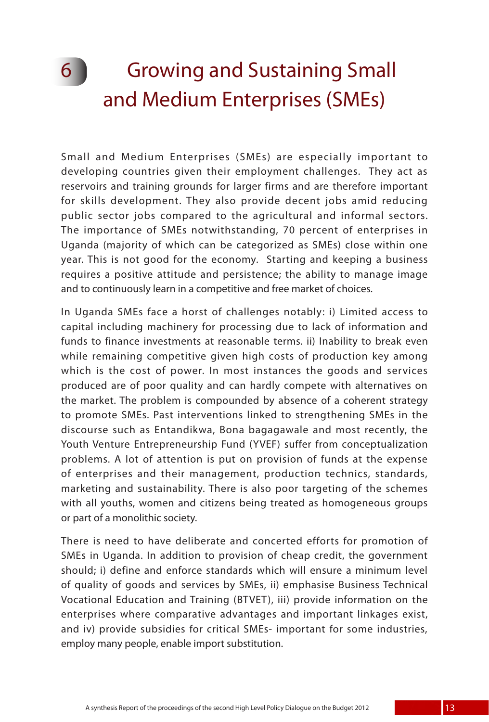## 6 Growing and Sustaining Small and Medium Enterprises (SMEs)

Small and Medium Enterprises (SMEs) are especially important to developing countries given their employment challenges. They act as reservoirs and training grounds for larger firms and are therefore important for skills development. They also provide decent jobs amid reducing public sector jobs compared to the agricultural and informal sectors. The importance of SMEs notwithstanding, 70 percent of enterprises in Uganda (majority of which can be categorized as SMEs) close within one year. This is not good for the economy. Starting and keeping a business requires a positive attitude and persistence; the ability to manage image and to continuously learn in a competitive and free market of choices.

In Uganda SMEs face a horst of challenges notably: i) Limited access to capital including machinery for processing due to lack of information and funds to finance investments at reasonable terms. ii) Inability to break even while remaining competitive given high costs of production key among which is the cost of power. In most instances the goods and services produced are of poor quality and can hardly compete with alternatives on the market. The problem is compounded by absence of a coherent strategy to promote SMEs. Past interventions linked to strengthening SMEs in the discourse such as Entandikwa, Bona bagagawale and most recently, the Youth Venture Entrepreneurship Fund (YVEF) suffer from conceptualization problems. A lot of attention is put on provision of funds at the expense of enterprises and their management, production technics, standards, marketing and sustainability. There is also poor targeting of the schemes with all youths, women and citizens being treated as homogeneous groups or part of a monolithic society.

There is need to have deliberate and concerted efforts for promotion of SMEs in Uganda. In addition to provision of cheap credit, the government should; i) define and enforce standards which will ensure a minimum level of quality of goods and services by SMEs, ii) emphasise Business Technical Vocational Education and Training (BTVET), iii) provide information on the enterprises where comparative advantages and important linkages exist, and iv) provide subsidies for critical SMEs- important for some industries, employ many people, enable import substitution.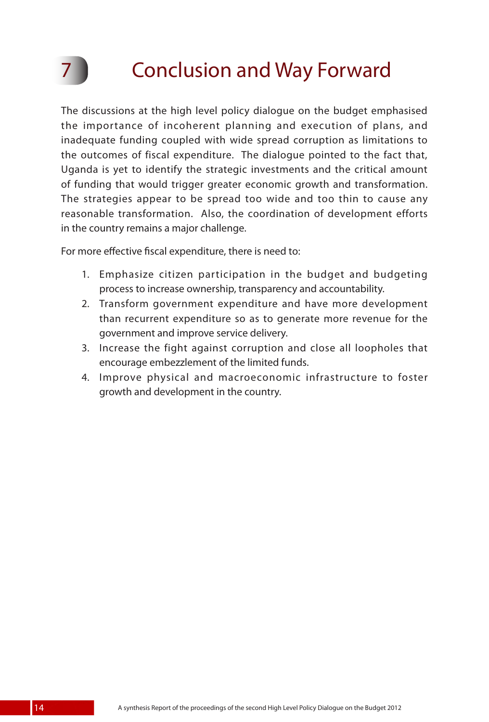# **Conclusion and Way Forward**

The discussions at the high level policy dialogue on the budget emphasised the importance of incoherent planning and execution of plans, and inadequate funding coupled with wide spread corruption as limitations to the outcomes of fiscal expenditure. The dialogue pointed to the fact that, Uganda is yet to identify the strategic investments and the critical amount of funding that would trigger greater economic growth and transformation. The strategies appear to be spread too wide and too thin to cause any reasonable transformation. Also, the coordination of development efforts in the country remains a major challenge.

For more effective fiscal expenditure, there is need to:

- 1. Emphasize citizen participation in the budget and budgeting process to increase ownership, transparency and accountability.
- 2. Transform government expenditure and have more development than recurrent expenditure so as to generate more revenue for the government and improve service delivery.
- 3. Increase the fight against corruption and close all loopholes that encourage embezzlement of the limited funds.
- 4. Improve physical and macroeconomic infrastructure to foster growth and development in the country.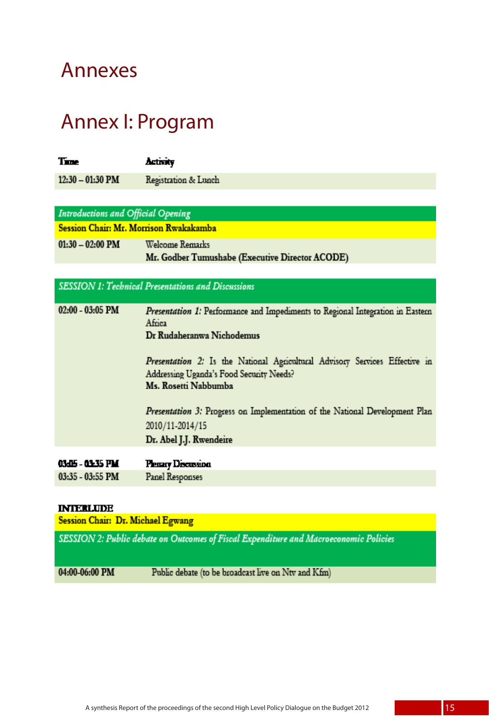### Annexes

 $01:$ 

## Annex I: Program

| Time                                   | Activity             |  |  |
|----------------------------------------|----------------------|--|--|
| $12:30 - 01:30$ PM                     | Registration & Lunch |  |  |
|                                        |                      |  |  |
| Introductions and Official Opening     |                      |  |  |
| Session Chair: Mr. Morrison Rwakakamba |                      |  |  |

| 30 – 02:00 PM | Welcome Remarks                                 |
|---------------|-------------------------------------------------|
|               | Mr. Godber Tumushabe (Executive Director ACODE) |

| <b>SESSION 1: Technical Presentations and Discussions</b> |                                                                                                                                                                                                                                                                          |  |  |
|-----------------------------------------------------------|--------------------------------------------------------------------------------------------------------------------------------------------------------------------------------------------------------------------------------------------------------------------------|--|--|
| $02:00 - 03:05$ PM                                        | Presentation 1: Performance and Impediments to Regional Integration in Eastern<br>Africa<br>Dr Rudaheranwa Nichodemus<br>Presentation 2: Is the National Agricultural Advisory Services Effective in<br>Addressing Uganda's Food Security Needs?<br>Ms. Rosetti Nabbumba |  |  |
|                                                           | Presentation 3: Progress on Implementation of the National Development Plan<br>2010/11-2014/15<br>Dr. Abel J.J. Rwendeire                                                                                                                                                |  |  |
| 03415 - 03435 PM<br>$03:35 - 03:55$ PM                    | Penary Discussion<br>Panel Responses                                                                                                                                                                                                                                     |  |  |
|                                                           |                                                                                                                                                                                                                                                                          |  |  |

#### **INTERLUDE**

| <b>Session Chair: Dr. Michael Egwang</b>                                              |                                                     |  |
|---------------------------------------------------------------------------------------|-----------------------------------------------------|--|
| SESSION 2: Public debate on Outcomes of Fiscal Expenditure and Macroeconomic Policies |                                                     |  |
| 04:00-06:00 PM                                                                        | Public debate (to be broadcast live on Ntv and Kfm) |  |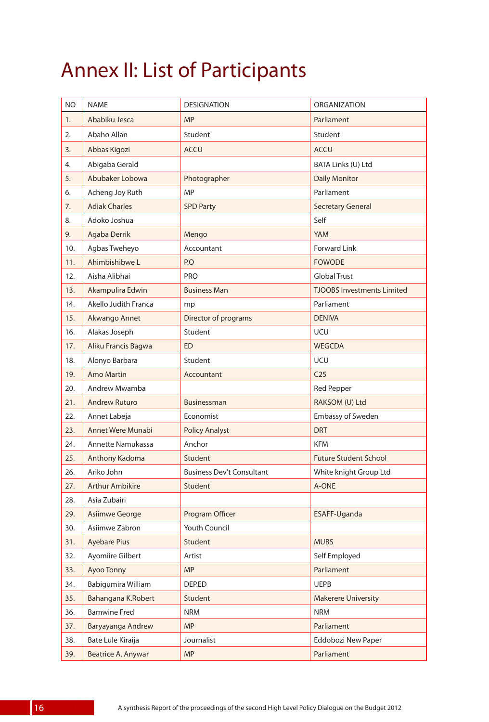## Annex II: List of Participants

| <b>NO</b> | <b>NAME</b>            | <b>DESIGNATION</b>               | <b>ORGANIZATION</b>               |
|-----------|------------------------|----------------------------------|-----------------------------------|
| 1.        | Ababiku Jesca          | <b>MP</b>                        | Parliament                        |
| 2.        | Abaho Allan            | Student                          | Student                           |
| 3.        | Abbas Kigozi           | <b>ACCU</b>                      | <b>ACCU</b>                       |
| 4.        | Abigaba Gerald         |                                  | BATA Links (U) Ltd                |
| 5.        | Abubaker Lobowa        | Photographer                     | <b>Daily Monitor</b>              |
| 6.        | Acheng Joy Ruth        | <b>MP</b>                        | Parliament                        |
| 7.        | <b>Adiak Charles</b>   | <b>SPD Party</b>                 | <b>Secretary General</b>          |
| 8.        | Adoko Joshua           |                                  | Self                              |
| 9.        | Agaba Derrik           | Mengo                            | <b>YAM</b>                        |
| 10.       | Agbas Tweheyo          | Accountant                       | <b>Forward Link</b>               |
| 11.       | Ahimbishibwe L         | P.O                              | <b>FOWODE</b>                     |
| 12.       | Aisha Alibhai          | PRO                              | <b>Global Trust</b>               |
| 13.       | Akampulira Edwin       | <b>Business Man</b>              | <b>TJOOBS Investments Limited</b> |
| 14.       | Akello Judith Franca   | mp                               | Parliament                        |
| 15.       | Akwango Annet          | Director of programs             | <b>DENIVA</b>                     |
| 16.       | Alakas Joseph          | Student                          | UCU                               |
| 17.       | Aliku Francis Bagwa    | <b>ED</b>                        | <b>WEGCDA</b>                     |
| 18.       | Alonyo Barbara         | Student                          | UCU                               |
| 19.       | <b>Amo Martin</b>      | Accountant                       | C <sub>25</sub>                   |
| 20.       | Andrew Mwamba          |                                  | <b>Red Pepper</b>                 |
| 21.       | <b>Andrew Ruturo</b>   | <b>Businessman</b>               | RAKSOM (U) Ltd                    |
| 22.       | Annet Labeja           | Economist                        | <b>Embassy of Sweden</b>          |
| 23.       | Annet Were Munabi      | <b>Policy Analyst</b>            | <b>DRT</b>                        |
| 24.       | Annette Namukassa      | Anchor                           | <b>KFM</b>                        |
| 25.       | Anthony Kadoma         | Student                          | <b>Future Student School</b>      |
| 26.       | Ariko John             | <b>Business Dev't Consultant</b> | White knight Group Ltd            |
| 27.       | <b>Arthur Ambikire</b> | Student                          | A-ONE                             |
| 28.       | Asia Zubairi           |                                  |                                   |
| 29.       | Asiimwe George         | Program Officer                  | ESAFF-Uganda                      |
| 30.       | Asiimwe Zabron         | <b>Youth Council</b>             |                                   |
| 31.       | <b>Ayebare Pius</b>    | Student                          | <b>MUBS</b>                       |
| 32.       | Ayomiire Gilbert       | Artist                           | Self Employed                     |
| 33.       | Ayoo Tonny             | <b>MP</b>                        | Parliament                        |
| 34.       | Babigumira William     | DEP.ED                           | <b>UEPB</b>                       |
| 35.       | Bahangana K.Robert     | Student                          | <b>Makerere University</b>        |
| 36.       | <b>Bamwine Fred</b>    | <b>NRM</b>                       | <b>NRM</b>                        |
| 37.       | Baryayanga Andrew      | <b>MP</b>                        | Parliament                        |
| 38.       | Bate Lule Kiraija      | Journalist                       | Eddobozi New Paper                |
| 39.       | Beatrice A. Anywar     | <b>MP</b>                        | Parliament                        |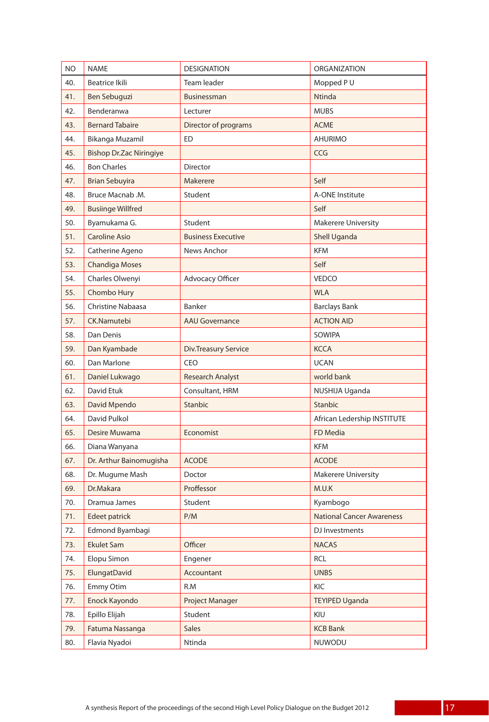| <b>NO</b> | <b>NAME</b>                    | <b>DESIGNATION</b>          | <b>ORGANIZATION</b>              |
|-----------|--------------------------------|-----------------------------|----------------------------------|
| 40.       | <b>Beatrice Ikili</b>          | Team leader                 | Mopped PU                        |
| 41.       | Ben Sebuguzi                   | <b>Businessman</b>          | Ntinda                           |
| 42.       | Benderanwa                     | Lecturer                    | <b>MUBS</b>                      |
| 43.       | <b>Bernard Tabaire</b>         | Director of programs        | <b>ACME</b>                      |
| 44.       | Bikanga Muzamil                | ED                          | <b>AHURIMO</b>                   |
| 45.       | <b>Bishop Dr.Zac Niringiye</b> |                             | <b>CCG</b>                       |
| 46.       | <b>Bon Charles</b>             | Director                    |                                  |
| 47.       | <b>Brian Sebuyira</b>          | Makerere                    | Self                             |
| 48.       | Bruce Macnab .M.               | Student                     | A-ONE Institute                  |
| 49.       | <b>Busiinge Willfred</b>       |                             | Self                             |
| 50.       | Byamukama G.                   | Student                     | <b>Makerere University</b>       |
| 51.       | <b>Caroline Asio</b>           | <b>Business Executive</b>   | Shell Uganda                     |
| 52.       | Catherine Ageno                | News Anchor                 | <b>KFM</b>                       |
| 53.       | <b>Chandiga Moses</b>          |                             | Self                             |
| 54.       | Charles Olwenyi                | Advocacy Officer            | <b>VEDCO</b>                     |
| 55.       | Chombo Hury                    |                             | <b>WLA</b>                       |
| 56.       | <b>Christine Nabaasa</b>       | Banker                      | <b>Barclays Bank</b>             |
| 57.       | CK.Namutebi                    | <b>AAU Governance</b>       | <b>ACTION AID</b>                |
| 58.       | Dan Denis                      |                             | <b>SOWIPA</b>                    |
| 59.       | Dan Kyambade                   | <b>Div.Treasury Service</b> | <b>KCCA</b>                      |
| 60.       | Dan Marlone                    | <b>CEO</b>                  | <b>UCAN</b>                      |
| 61.       | Daniel Lukwago                 | <b>Research Analyst</b>     | world bank                       |
| 62.       | David Etuk                     | Consultant, HRM             | NUSHIJA Uganda                   |
| 63.       | David Mpendo                   | <b>Stanbic</b>              | Stanbic                          |
| 64.       | David Pulkol                   |                             | African Ledership INSTITUTE      |
| 65.       | Desire Muwama                  | Economist                   | <b>FD Media</b>                  |
| 66.       | Diana Wanyana                  |                             | <b>KFM</b>                       |
| 67.       | Dr. Arthur Bainomugisha        | <b>ACODE</b>                | <b>ACODE</b>                     |
| 68.       | Dr. Mugume Mash                | Doctor                      | <b>Makerere University</b>       |
| 69.       | Dr.Makara                      | Proffessor                  | M.U.K                            |
| 70.       | Dramua James                   | Student                     | Kyambogo                         |
| 71.       | Edeet patrick                  | P/M                         | <b>National Cancer Awareness</b> |
| 72.       | Edmond Byambagi                |                             | DJ Investments                   |
| 73.       | <b>Ekulet Sam</b>              | Officer                     | <b>NACAS</b>                     |
| 74.       | Elopu Simon                    | Engener                     | <b>RCL</b>                       |
| 75.       | ElungatDavid                   | Accountant                  | <b>UNBS</b>                      |
| 76.       | Emmy Otim                      | R.M                         | KIC                              |
| 77.       | Enock Kayondo                  | Project Manager             | <b>TEYIPED Uganda</b>            |
| 78.       | Epillo Elijah                  | Student                     | KIU                              |
| 79.       | Fatuma Nassanga                | <b>Sales</b>                | <b>KCB Bank</b>                  |
| 80.       | Flavia Nyadoi                  | Ntinda                      | NUWODU                           |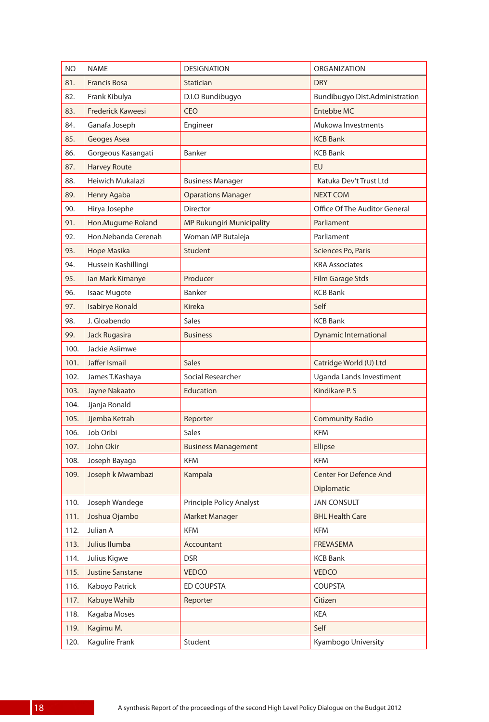| NO.  | <b>NAME</b>              | <b>DESIGNATION</b>         | <b>ORGANIZATION</b>            |
|------|--------------------------|----------------------------|--------------------------------|
| 81.  | <b>Francis Bosa</b>      | Statician                  | <b>DRY</b>                     |
| 82.  | Frank Kibulya            | D.I.O Bundibugyo           | Bundibugyo Dist.Administration |
| 83.  | <b>Frederick Kaweesi</b> | <b>CEO</b>                 | <b>Entebbe MC</b>              |
| 84.  | Ganafa Joseph            | Engineer                   | Mukowa Investments             |
| 85.  | Geoges Asea              |                            | <b>KCB Bank</b>                |
| 86.  | Gorgeous Kasangati       | Banker                     | <b>KCB Bank</b>                |
| 87.  | <b>Harvey Route</b>      |                            | EU                             |
| 88.  | Heiwich Mukalazi         | <b>Business Manager</b>    | Katuka Dev't Trust Ltd         |
| 89.  | Henry Agaba              | <b>Oparations Manager</b>  | <b>NEXT COM</b>                |
| 90.  | Hirya Josephe            | <b>Director</b>            | Office Of The Auditor General  |
| 91.  | Hon.Mugume Roland        | MP Rukungiri Municipality  | Parliament                     |
| 92.  | Hon.Nebanda Cerenah      | Woman MP Butaleja          | Parliament                     |
| 93.  | <b>Hope Masika</b>       | Student                    | Sciences Po, Paris             |
| 94.  | Hussein Kashillingi      |                            | <b>KRA Associates</b>          |
| 95.  | lan Mark Kimanye         | Producer                   | <b>Film Garage Stds</b>        |
| 96.  | <b>Isaac Mugote</b>      | Banker                     | <b>KCB Bank</b>                |
| 97.  | <b>Isabirye Ronald</b>   | Kireka                     | Self                           |
| 98.  | J. Gloabendo             | <b>Sales</b>               | <b>KCB Bank</b>                |
| 99.  | Jack Rugasira            | <b>Business</b>            | <b>Dynamic International</b>   |
| 100. | Jackie Asiimwe           |                            |                                |
| 101. | Jaffer Ismail            | <b>Sales</b>               | Catridge World (U) Ltd         |
| 102. | James T.Kashaya          | Social Researcher          | Uganda Lands Investiment       |
| 103. | Jayne Nakaato            | Education                  | Kindikare P. S                 |
| 104. | Jjanja Ronald            |                            |                                |
| 105. | Jjemba Ketrah            | Reporter                   | <b>Community Radio</b>         |
| 106. | Job Oribi                | <b>Sales</b>               | <b>KFM</b>                     |
| 107. | John Okir                | <b>Business Management</b> | Ellipse                        |
| 108. | Joseph Bayaga            | <b>KFM</b>                 | <b>KFM</b>                     |
| 109. | Joseph k Mwambazi        | Kampala                    | <b>Center For Defence And</b>  |
|      |                          |                            | Diplomatic                     |
| 110. | Joseph Wandege           | Principle Policy Analyst   | JAN CONSULT                    |
| 111. | Joshua Ojambo            | Market Manager             | <b>BHL Health Care</b>         |
| 112. | Julian A                 | KFM                        | <b>KFM</b>                     |
| 113. | Julius Ilumba            | Accountant                 | FREVASEMA                      |
| 114. | Julius Kigwe             | <b>DSR</b>                 | <b>KCB Bank</b>                |
| 115. | Justine Sanstane         | <b>VEDCO</b>               | <b>VEDCO</b>                   |
| 116. | Kaboyo Patrick           | ED COUPSTA                 | <b>COUPSTA</b>                 |
| 117. | Kabuye Wahib             | Reporter                   | Citizen                        |
| 118. | Kagaba Moses             |                            | <b>KEA</b>                     |
| 119. | Kagimu M.                |                            | Self                           |
| 120. | Kagulire Frank           | Student                    | Kyambogo University            |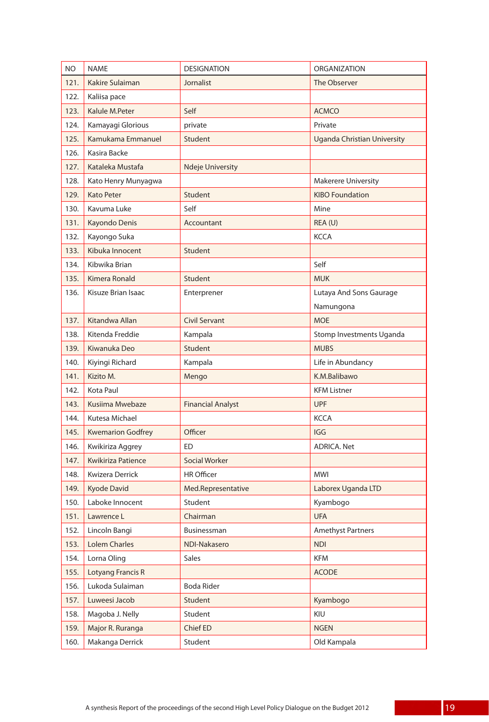| NO.  | <b>NAME</b>               | <b>DESIGNATION</b>       | <b>ORGANIZATION</b>         |
|------|---------------------------|--------------------------|-----------------------------|
| 121. | Kakire Sulaiman           | Jornalist                | The Observer                |
| 122. | Kaliisa pace              |                          |                             |
| 123. | Kalule M.Peter            | Self                     | <b>ACMCO</b>                |
| 124. | Kamayagi Glorious         | private                  | Private                     |
| 125. | Kamukama Emmanuel         | Student                  | Uganda Christian University |
| 126. | Kasira Backe              |                          |                             |
| 127. | Kataleka Mustafa          | <b>Ndeje University</b>  |                             |
| 128. | Kato Henry Munyagwa       |                          | <b>Makerere University</b>  |
| 129. | <b>Kato Peter</b>         | Student                  | <b>KIBO Foundation</b>      |
| 130. | Kavuma Luke               | Self                     | Mine                        |
| 131. | Kayondo Denis             | Accountant               | REA (U)                     |
| 132. | Kayongo Suka              |                          | KCCA                        |
| 133. | Kibuka Innocent           | Student                  |                             |
| 134. | Kibwika Brian             |                          | Self                        |
| 135. | Kimera Ronald             | Student                  | <b>MUK</b>                  |
| 136. | Kisuze Brian Isaac        | Enterprener              | Lutaya And Sons Gaurage     |
|      |                           |                          | Namungona                   |
| 137. | Kitandwa Allan            | <b>Civil Servant</b>     | <b>MOE</b>                  |
| 138. | Kitenda Freddie           | Kampala                  | Stomp Investments Uganda    |
| 139. | Kiwanuka Deo              | Student                  | <b>MUBS</b>                 |
| 140. | Kiyingi Richard           | Kampala                  | Life in Abundancy           |
| 141. | Kizito M.                 | Mengo                    | K.M.Balibawo                |
| 142. | Kota Paul                 |                          | <b>KFM Listner</b>          |
| 143. | Kusiima Mwebaze           | <b>Financial Analyst</b> | <b>UPF</b>                  |
| 144. | Kutesa Michael            |                          | <b>KCCA</b>                 |
| 145. | <b>Kwemarion Godfrey</b>  | Officer                  | <b>IGG</b>                  |
| 146. | Kwikiriza Aggrey          | ED                       | <b>ADRICA, Net</b>          |
| 147. | <b>Kwikiriza Patience</b> | <b>Social Worker</b>     |                             |
| 148. | Kwizera Derrick           | <b>HR Officer</b>        | <b>MWI</b>                  |
| 149. | <b>Kyode David</b>        | Med.Representative       | Laborex Uganda LTD          |
| 150. | Laboke Innocent           | Student                  | Kyambogo                    |
| 151. | Lawrence L                | Chairman                 | <b>UFA</b>                  |
| 152. | Lincoln Bangi             | Businessman              | <b>Amethyst Partners</b>    |
| 153. | <b>Lolem Charles</b>      | NDI-Nakasero             | <b>NDI</b>                  |
| 154. | Lorna Oling               | <b>Sales</b>             | <b>KFM</b>                  |
| 155. | Lotyang Francis R         |                          | <b>ACODE</b>                |
| 156. | Lukoda Sulaiman           | <b>Boda Rider</b>        |                             |
| 157. | Luweesi Jacob             | Student                  | Kyambogo                    |
| 158. | Magoba J. Nelly           | Student                  | KIU                         |
| 159. | Major R. Ruranga          | Chief ED                 | <b>NGEN</b>                 |
| 160. | Makanga Derrick           | Student                  | Old Kampala                 |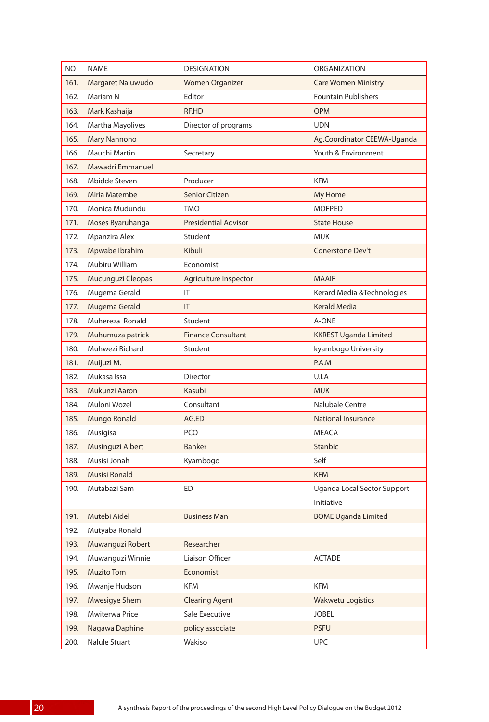| NO.  | <b>NAME</b>          | <b>DESIGNATION</b>          | <b>ORGANIZATION</b>          |
|------|----------------------|-----------------------------|------------------------------|
| 161. | Margaret Naluwudo    | <b>Women Organizer</b>      | <b>Care Women Ministry</b>   |
| 162. | Mariam N             | Editor                      | <b>Fountain Publishers</b>   |
| 163. | Mark Kashaija        | RF.HD                       | <b>OPM</b>                   |
| 164. | Martha Mayolives     | Director of programs        | <b>UDN</b>                   |
| 165. | <b>Mary Nannono</b>  |                             | Ag.Coordinator CEEWA-Uganda  |
| 166. | Mauchi Martin        | Secretary                   | Youth & Environment          |
| 167. | Mawadri Emmanuel     |                             |                              |
| 168. | Mbidde Steven        | Producer                    | <b>KFM</b>                   |
| 169. | Miria Matembe        | Senior Citizen              | My Home                      |
| 170. | Monica Mudundu       | <b>TMO</b>                  | <b>MOFPED</b>                |
| 171. | Moses Byaruhanga     | <b>Presidential Advisor</b> | <b>State House</b>           |
| 172. | Mpanzira Alex        | Student                     | <b>MUK</b>                   |
| 173. | Mpwabe Ibrahim       | Kibuli                      | Conerstone Dev't             |
| 174. | Mubiru William       | Economist                   |                              |
| 175. | Mucunguzi Cleopas    | Agriculture Inspector       | <b>MAAIF</b>                 |
| 176. | Mugema Gerald        | IT                          | Kerard Media & Technologies  |
| 177. | Mugema Gerald        | IT                          | <b>Kerald Media</b>          |
| 178. | Muhereza Ronald      | Student                     | A-ONE                        |
| 179. | Muhumuza patrick     | <b>Finance Consultant</b>   | <b>KKREST Uganda Limited</b> |
| 180. | Muhwezi Richard      | Student                     | kyambogo University          |
| 181. | Muijuzi M.           |                             | P.A.M                        |
| 182. | Mukasa Issa          | <b>Director</b>             | U.I.A                        |
| 183. | Mukunzi Aaron        | Kasubi                      | <b>MUK</b>                   |
| 184. | Muloni Wozel         | Consultant                  | Nalubale Centre              |
| 185. | Mungo Ronald         | AG.ED                       | National Insurance           |
| 186. | Musigisa             | PCO                         | <b>MEACA</b>                 |
| 187. | Musinguzi Albert     | <b>Banker</b>               | <b>Stanbic</b>               |
| 188. | Musisi Jonah         | Kyambogo                    | Self                         |
| 189. | <b>Musisi Ronald</b> |                             | <b>KFM</b>                   |
| 190. | Mutabazi Sam         | <b>ED</b>                   | Uganda Local Sector Support  |
|      |                      |                             | Initiative                   |
| 191. | Mutebi Aidel         | <b>Business Man</b>         | <b>BOME Uganda Limited</b>   |
| 192. | Mutyaba Ronald       |                             |                              |
| 193. | Muwanguzi Robert     | Researcher                  |                              |
| 194. | Muwanguzi Winnie     | Liaison Officer             | <b>ACTADE</b>                |
| 195. | <b>Muzito Tom</b>    | Economist                   |                              |
| 196. | Mwanje Hudson        | <b>KFM</b>                  | KFM                          |
| 197. | Mwesigye Shem        | <b>Clearing Agent</b>       | <b>Wakwetu Logistics</b>     |
| 198. | Mwiterwa Price       | Sale Executive              | <b>JOBELI</b>                |
| 199. | Nagawa Daphine       | policy associate            | <b>PSFU</b>                  |
| 200. | Nalule Stuart        | Wakiso                      | <b>UPC</b>                   |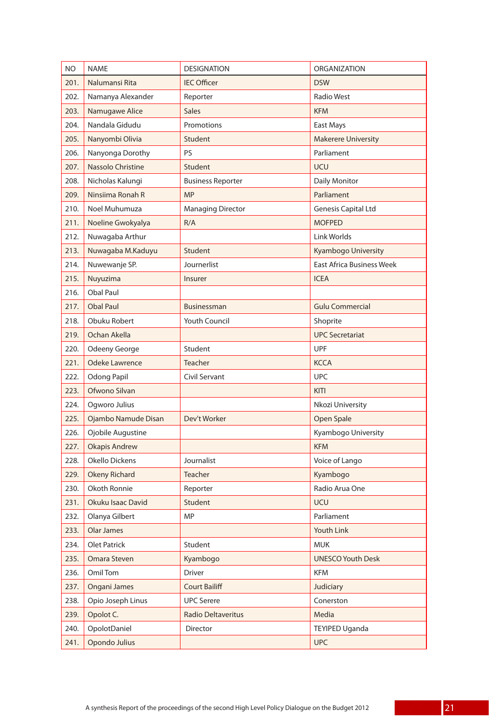| NO.  | <b>NAME</b>           | <b>DESIGNATION</b>        | ORGANIZATION                     |
|------|-----------------------|---------------------------|----------------------------------|
| 201. | Nalumansi Rita        | <b>IEC Officer</b>        | <b>DSW</b>                       |
| 202. | Namanya Alexander     | Reporter                  | <b>Radio West</b>                |
| 203. | Namugawe Alice        | <b>Sales</b>              | <b>KFM</b>                       |
| 204. | Nandala Gidudu        | Promotions                | East Mays                        |
| 205. | Nanyombi Olivia       | Student                   | <b>Makerere University</b>       |
| 206. | Nanyonga Dorothy      | PS                        | Parliament                       |
| 207. | Nassolo Christine     | Student                   | <b>UCU</b>                       |
| 208. | Nicholas Kalungi      | <b>Business Reporter</b>  | Daily Monitor                    |
| 209. | Ninsiima Ronah R      | <b>MP</b>                 | Parliament                       |
| 210. | Noel Muhumuza         | <b>Managing Director</b>  | <b>Genesis Capital Ltd</b>       |
| 211. | Noeline Gwokyalya     | R/A                       | <b>MOFPED</b>                    |
| 212. | Nuwagaba Arthur       |                           | Link Worlds                      |
| 213. | Nuwagaba M.Kaduyu     | Student                   | Kyambogo University              |
| 214. | Nuwewanje SP.         | Journerlist               | <b>East Africa Business Week</b> |
| 215. | Nuyuzima              | Insurer                   | <b>ICEA</b>                      |
| 216. | <b>Obal Paul</b>      |                           |                                  |
| 217. | <b>Obal Paul</b>      | Businessman               | <b>Gulu Commercial</b>           |
| 218. | Obuku Robert          | Youth Council             | Shoprite                         |
| 219. | Ochan Akella          |                           | <b>UPC Secretariat</b>           |
| 220. | Odeeny George         | Student                   | <b>UPF</b>                       |
| 221. | <b>Odeke Lawrence</b> | <b>Teacher</b>            | <b>KCCA</b>                      |
| 222. | <b>Odong Papil</b>    | Civil Servant             | <b>UPC</b>                       |
| 223. | Ofwono Silvan         |                           | <b>KITI</b>                      |
| 224. | Ogworo Julius         |                           | Nkozi University                 |
| 225. | Ojambo Namude Disan   | Dev't Worker              | Open Spale                       |
| 226. | Ojobile Augustine     |                           | Kyambogo University              |
| 227. | <b>Okapis Andrew</b>  |                           | <b>KFM</b>                       |
| 228. | Okello Dickens        | Journalist                | Voice of Lango                   |
| 229. | <b>Okeny Richard</b>  | <b>Teacher</b>            | Kyambogo                         |
| 230. | Okoth Ronnie          | Reporter                  | Radio Arua One                   |
| 231. | Okuku Isaac David     | Student                   | UCU                              |
| 232. | Olanya Gilbert        | <b>MP</b>                 | Parliament                       |
| 233. | Olar James            |                           | Youth Link                       |
| 234. | <b>Olet Patrick</b>   | Student                   | <b>MUK</b>                       |
| 235. | Omara Steven          | Kyambogo                  | <b>UNESCO Youth Desk</b>         |
| 236. | Omil Tom              | Driver                    | KFM                              |
| 237. | Ongani James          | <b>Court Bailiff</b>      | Judiciary                        |
| 238. | Opio Joseph Linus     | <b>UPC Serere</b>         | Conerston                        |
| 239. | Opolot C.             | <b>Radio Deltaveritus</b> | Media                            |
| 240. | OpolotDaniel          | Director                  | <b>TEYIPED Uganda</b>            |
| 241. | Opondo Julius         |                           | <b>UPC</b>                       |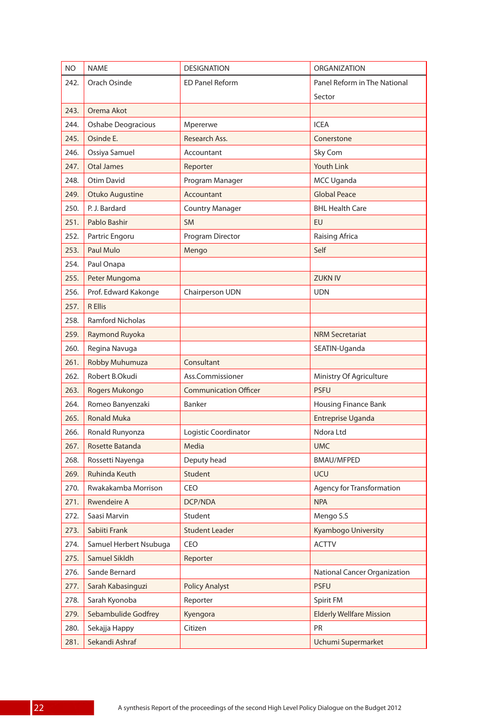| <b>NO</b> | <b>NAME</b>               | <b>DESIGNATION</b>           | <b>ORGANIZATION</b>             |
|-----------|---------------------------|------------------------------|---------------------------------|
| 242.      | Orach Osinde              | <b>ED Panel Reform</b>       | Panel Reform in The National    |
|           |                           |                              | Sector                          |
| 243.      | Orema Akot                |                              |                                 |
| 244.      | <b>Oshabe Deogracious</b> | Mpererwe                     | <b>ICFA</b>                     |
| 245.      | Osinde E.                 | Research Ass.                | Conerstone                      |
| 246.      | Ossiya Samuel             | Accountant                   | Sky Com                         |
| 247.      | <b>Otal James</b>         | Reporter                     | <b>Youth Link</b>               |
| 248.      | Otim David                | Program Manager              | MCC Uganda                      |
| 249.      | Otuko Augustine           | Accountant                   | <b>Global Peace</b>             |
| 250.      | P. J. Bardard             | <b>Country Manager</b>       | <b>BHL Health Care</b>          |
| 251.      | Pablo Bashir              | <b>SM</b>                    | EU                              |
| 252.      | Partric Engoru            | Program Director             | Raising Africa                  |
| 253.      | Paul Mulo                 | Mengo                        | Self                            |
| 254.      | Paul Onapa                |                              |                                 |
| 255.      | Peter Mungoma             |                              | <b>ZUKN IV</b>                  |
| 256.      | Prof. Edward Kakonge      | Chairperson UDN              | <b>UDN</b>                      |
| 257.      | <b>R Ellis</b>            |                              |                                 |
| 258.      | <b>Ramford Nicholas</b>   |                              |                                 |
| 259.      | Raymond Ruyoka            |                              | <b>NRM Secretariat</b>          |
| 260.      | Regina Navuga             |                              | SEATIN-Uganda                   |
| 261.      | Robby Muhumuza            | Consultant                   |                                 |
| 262.      | Robert B.Okudi            | Ass.Commissioner             | Ministry Of Agriculture         |
| 263.      | Rogers Mukongo            | <b>Communication Officer</b> | <b>PSFU</b>                     |
| 264.      | Romeo Banyenzaki          | Banker                       | Housing Finance Bank            |
| 265.      | <b>Ronald Muka</b>        |                              | Entreprise Uganda               |
| 266.      | Ronald Runyonza           | Logistic Coordinator         | Ndora Ltd                       |
| 267.      | Rosette Batanda           | Media                        | <b>UMC</b>                      |
| 268.      | Rossetti Nayenga          | Deputy head                  | <b>BMAU/MFPED</b>               |
| 269.      | Ruhinda Keuth             | Student                      | <b>UCU</b>                      |
| 270.      | Rwakakamba Morrison       | CEO                          | Agency for Transformation       |
| 271.      | Rwendeire A               | DCP/NDA                      | <b>NPA</b>                      |
| 272.      | Saasi Marvin              | Student                      | Mengo S.S                       |
| 273.      | Sabiiti Frank             | <b>Student Leader</b>        | Kyambogo University             |
| 274.      | Samuel Herbert Nsubuga    | CEO                          | <b>ACTTV</b>                    |
| 275.      | Samuel Sikldh             | Reporter                     |                                 |
| 276.      | Sande Bernard             |                              | National Cancer Organization    |
| 277.      | Sarah Kabasinguzi         | <b>Policy Analyst</b>        | <b>PSFU</b>                     |
| 278.      | Sarah Kyonoba             | Reporter                     | Spirit FM                       |
| 279.      | Sebambulide Godfrey       | Kyengora                     | <b>Elderly Wellfare Mission</b> |
| 280.      | Sekajja Happy             | Citizen                      | PR                              |
| 281.      | Sekandi Ashraf            |                              | Uchumi Supermarket              |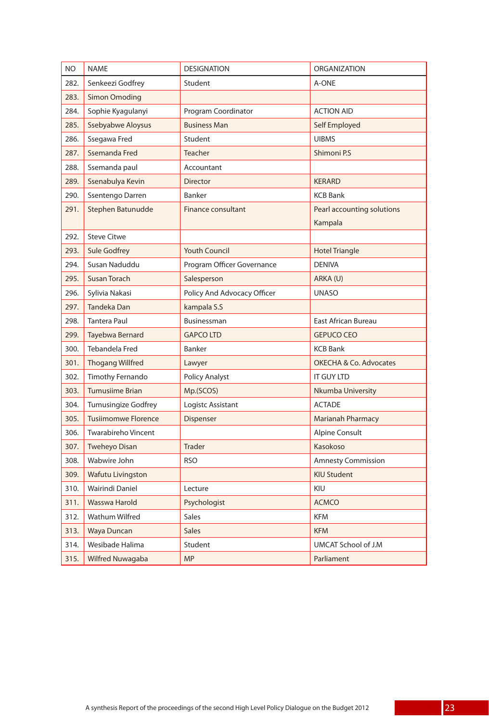| NO.  | <b>NAME</b>                | <b>DESIGNATION</b>          | <b>ORGANIZATION</b>                   |
|------|----------------------------|-----------------------------|---------------------------------------|
| 282. | Senkeezi Godfrey           | Student                     | A-ONE                                 |
| 283. | <b>Simon Omoding</b>       |                             |                                       |
| 284. | Sophie Kyagulanyi          | Program Coordinator         | <b>ACTION AID</b>                     |
| 285. | Ssebyabwe Aloysus          | <b>Business Man</b>         | Self Employed                         |
| 286. | Ssegawa Fred               | Student                     | <b>UIBMS</b>                          |
| 287. | Ssemanda Fred              | <b>Teacher</b>              | Shimoni P.S                           |
| 288. | Ssemanda paul              | Accountant                  |                                       |
| 289. | Ssenabulya Kevin           | <b>Director</b>             | <b>KERARD</b>                         |
| 290. | Ssentengo Darren           | Banker                      | <b>KCB Bank</b>                       |
| 291. | Stephen Batunudde          | Finance consultant          | Pearl accounting solutions<br>Kampala |
| 292. | <b>Steve Citwe</b>         |                             |                                       |
| 293. | <b>Sule Godfrey</b>        | <b>Youth Council</b>        | <b>Hotel Triangle</b>                 |
| 294. | Susan Naduddu              | Program Officer Governance  | <b>DENIVA</b>                         |
| 295. | <b>Susan Torach</b>        | Salesperson                 | ARKA (U)                              |
| 296. | Sylivia Nakasi             | Policy And Advocacy Officer | <b>UNASO</b>                          |
| 297. | <b>Tandeka Dan</b>         | kampala S.S                 |                                       |
| 298. | <b>Tantera Paul</b>        | Businessman                 | <b>East African Bureau</b>            |
| 299. | Tayebwa Bernard            | <b>GAPCO LTD</b>            | <b>GEPUCO CEO</b>                     |
| 300. | Tebandela Fred             | Banker                      | <b>KCB Bank</b>                       |
| 301. | <b>Thogang Willfred</b>    | Lawyer                      | <b>OKECHA &amp; Co. Advocates</b>     |
| 302. | Timothy Fernando           | <b>Policy Analyst</b>       | <b>IT GUY LTD</b>                     |
| 303. | <b>Tumusiime Brian</b>     | Mp.(SCOS)                   | Nkumba University                     |
| 304. | <b>Tumusingize Godfrey</b> | Logistc Assistant           | <b>ACTADE</b>                         |
| 305. | <b>Tusiimomwe Florence</b> | Dispenser                   | <b>Marianah Pharmacy</b>              |
| 306. | <b>Twarabireho Vincent</b> |                             | <b>Alpine Consult</b>                 |
| 307. | <b>Tweheyo Disan</b>       | <b>Trader</b>               | Kasokoso                              |
| 308. | Wabwire John               | <b>RSO</b>                  | <b>Amnesty Commission</b>             |
| 309. | <b>Wafutu Livingston</b>   |                             | <b>KIU Student</b>                    |
| 310. | Wairindi Daniel            | Lecture                     | KIU                                   |
| 311. | Wasswa Harold              | Psychologist                | <b>ACMCO</b>                          |
| 312. | Wathum Wilfred             | <b>Sales</b>                | <b>KFM</b>                            |
| 313. | Waya Duncan                | <b>Sales</b>                | <b>KFM</b>                            |
| 314. | Wesibade Halima            | Student                     | UMCAT School of J.M                   |
| 315. | Wilfred Nuwagaba           | <b>MP</b>                   | Parliament                            |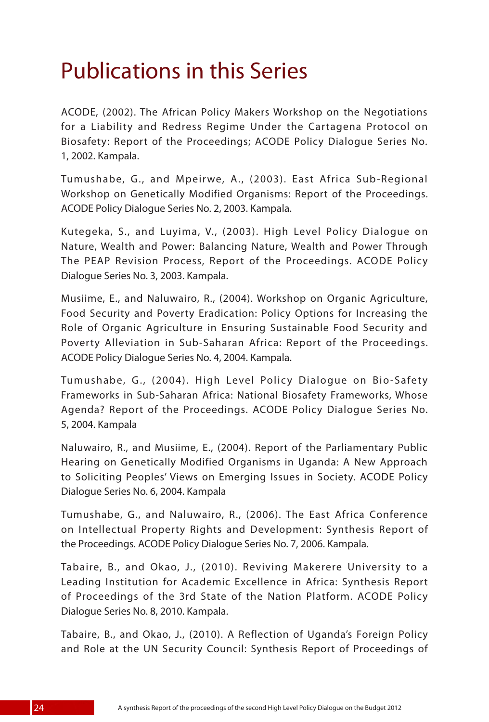## Publications in this Series

ACODE, (2002). The African Policy Makers Workshop on the Negotiations for a Liability and Redress Regime Under the Cartagena Protocol on Biosafety: Report of the Proceedings; ACODE Policy Dialogue Series No. 1, 2002. Kampala.

Tumushabe, G., and Mpeirwe, A., (2003). East Africa Sub-Regional Workshop on Genetically Modified Organisms: Report of the Proceedings. ACODE Policy Dialogue Series No. 2, 2003. Kampala.

Kutegeka, S., and Luyima, V., (2003). High Level Policy Dialogue on Nature, Wealth and Power: Balancing Nature, Wealth and Power Through The PEAP Revision Process, Report of the Proceedings. ACODE Policy Dialogue Series No. 3, 2003. Kampala.

Musiime, E., and Naluwairo, R., (2004). Workshop on Organic Agriculture, Food Security and Poverty Eradication: Policy Options for Increasing the Role of Organic Agriculture in Ensuring Sustainable Food Security and Poverty Alleviation in Sub-Saharan Africa: Report of the Proceedings. ACODE Policy Dialogue Series No. 4, 2004. Kampala.

Tumushabe, G., (2004). High Level Policy Dialogue on Bio-Safety Frameworks in Sub-Saharan Africa: National Biosafety Frameworks, Whose Agenda? Report of the Proceedings. ACODE Policy Dialogue Series No. 5, 2004. Kampala

Naluwairo, R., and Musiime, E., (2004). Report of the Parliamentary Public Hearing on Genetically Modified Organisms in Uganda: A New Approach to Soliciting Peoples' Views on Emerging Issues in Society. ACODE Policy Dialogue Series No. 6, 2004. Kampala

Tumushabe, G., and Naluwairo, R., (2006). The East Africa Conference on Intellectual Property Rights and Development: Synthesis Report of the Proceedings. ACODE Policy Dialogue Series No. 7, 2006. Kampala.

Tabaire, B., and Okao, J., (2010). Reviving Makerere University to a Leading Institution for Academic Excellence in Africa: Synthesis Report of Proceedings of the 3rd State of the Nation Platform. ACODE Policy Dialogue Series No. 8, 2010. Kampala.

Tabaire, B., and Okao, J., (2010). A Reflection of Uganda's Foreign Policy and Role at the UN Security Council: Synthesis Report of Proceedings of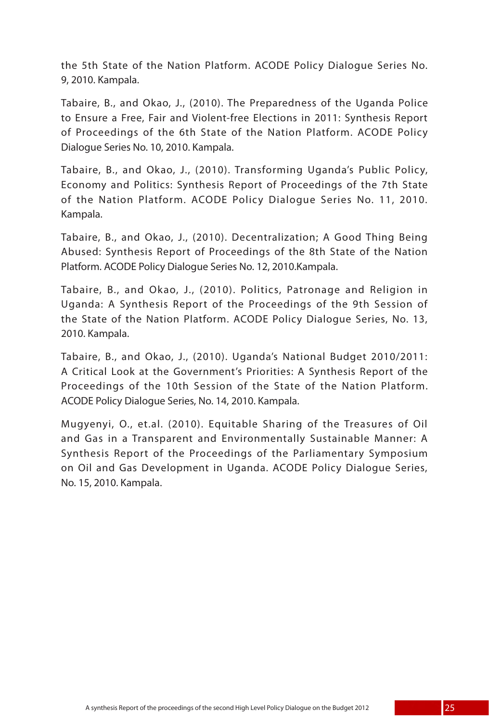the 5th State of the Nation Platform. ACODE Policy Dialogue Series No. 9, 2010. Kampala.

Tabaire, B., and Okao, J., (2010). The Preparedness of the Uganda Police to Ensure a Free, Fair and Violent-free Elections in 2011: Synthesis Report of Proceedings of the 6th State of the Nation Platform. ACODE Policy Dialogue Series No. 10, 2010. Kampala.

Tabaire, B., and Okao, J., (2010). Transforming Uganda's Public Policy, Economy and Politics: Synthesis Report of Proceedings of the 7th State of the Nation Platform. ACODE Policy Dialogue Series No. 11, 2010. Kampala.

Tabaire, B., and Okao, J., (2010). Decentralization; A Good Thing Being Abused: Synthesis Report of Proceedings of the 8th State of the Nation Platform. ACODE Policy Dialogue Series No. 12, 2010.Kampala.

Tabaire, B., and Okao, J., (2010). Politics, Patronage and Religion in Uganda: A Synthesis Report of the Proceedings of the 9th Session of the State of the Nation Platform. ACODE Policy Dialogue Series, No. 13, 2010. Kampala.

Tabaire, B., and Okao, J., (2010). Uganda's National Budget 2010/2011: A Critical Look at the Government's Priorities: A Synthesis Report of the Proceedings of the 10th Session of the State of the Nation Platform. ACODE Policy Dialogue Series, No. 14, 2010. Kampala.

Mugyenyi, O., et.al. (2010). Equitable Sharing of the Treasures of Oil and Gas in a Transparent and Environmentally Sustainable Manner: A Synthesis Report of the Proceedings of the Parliamentary Symposium on Oil and Gas Development in Uganda. ACODE Policy Dialogue Series, No. 15, 2010. Kampala.